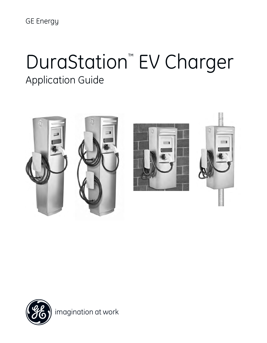GE Energy

# DuraStation™ EV Charger Application Guide





imagination at work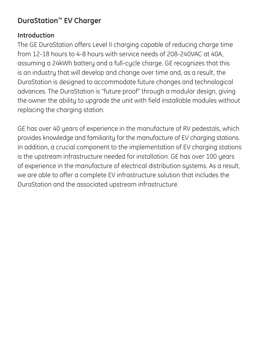# **DuraStation™ EV Charger**

# **Introduction**

The GE DuraStation offers Level II charging capable of reducing charge time from 12-18 hours to 4-8 hours with service needs of 208-240VAC at 40A, assuming a 24kWh battery and a full-cycle charge. GE recognizes that this is an industry that will develop and change over time and, as a result, the DuraStation is designed to accommodate future changes and technological advances. The DuraStation is "future proof" through a modular design, giving the owner the ability to upgrade the unit with field installable modules without replacing the charging station.

GE has over 40 years of experience in the manufacture of RV pedestals, which provides knowledge and familiarity for the manufacture of EV charging stations. In addition, a crucial component to the implementation of EV charging stations is the upstream infrastructure needed for installation. GE has over 100 years of experience in the manufacture of electrical distribution systems. As a result, we are able to offer a complete EV infrastructure solution that includes the DuraStation and the associated upstream infrastructure.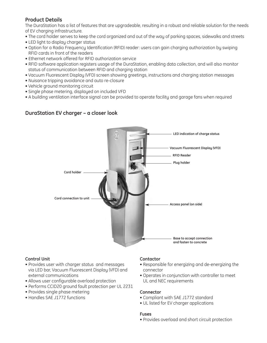#### **Product Details**

The DuraStation has a list of features that are upgradeable, resulting in a robust and reliable solution for the needs of EV charging infrastructure.

- The cord holder serves to keep the cord organized and out of the way of parking spaces, sidewalks and streets
- LED light to display charger status
- Option for a Radio Frequency Identification (RFID) reader: users can gain charging authorization by swiping RFID cards in front of the readers
- Ethernet network offered for RFID authorization service
- RFID software application registers usage of the DuraStation, enabling data collection, and will also monitor status of communication between RFID and charging station
- Vacuum Fluorescent Display (VFD) screen showing greetings, instructions and charging station messages
- Nuisance tripping avoidance and auto re-closure
- Vehicle ground monitoring circuit
- Single phase metering, displayed on included VFD
- A building ventilation interface signal can be provided to operate facility and garage fans when required

#### **DuraStation EV charger – a closer look**



#### **Control Unit**

- Provides user with charger status and messages via LED bar, Vacuum Fluorescent Display (VFD) and external communications
- Allows user configurable overload protection
- Performs CCID20 ground fault protection per UL 2231
- Provides single phase metering
- Handles SAE J1772 functions

#### **Contactor**

- Responsible for energizing and de-energizing the connector
- Operates in conjunction with controller to meet UL and NEC requirements

#### **Connector**

- Compliant with SAE J1772 standard
- UL listed for EV charger applications

#### **Fuses**

• Provides overload and short circuit protection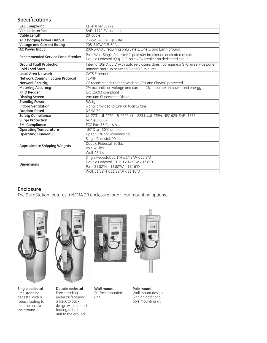#### **Specifications**

| <b>SAE Compliant</b>                     | Level II per J1772                                                                                                                         |  |  |  |  |
|------------------------------------------|--------------------------------------------------------------------------------------------------------------------------------------------|--|--|--|--|
| <b>Vehicle Interface</b>                 | SAE J1772 EV connector                                                                                                                     |  |  |  |  |
| <b>Cable Length</b>                      | 20' cable                                                                                                                                  |  |  |  |  |
| <b>AC Charging Power Output</b>          | 7.2kW (240VAC @ 30A)                                                                                                                       |  |  |  |  |
| <b>Voltage and Current Rating</b>        | 208-240VAC @ 30A                                                                                                                           |  |  |  |  |
| <b>AC Power Input</b>                    | 208-240VAC requiring only Line 1, Line 2, and Earth ground                                                                                 |  |  |  |  |
| <b>Recommended Service Panel Breaker</b> | Pole, Wall, Single Pedestal: 2-pole 40A breaker on dedicated circuit.<br>Double Pedestal: (Qty. 2) 2-pole 40A breaker on dedicated circuit |  |  |  |  |
| <b>Ground Fault Protection</b>           | Internal 20mA CCID with auto re-closure, does not require a GFCI in service panel                                                          |  |  |  |  |
| <b>Cold Load Start</b>                   | Random start up between 0 and 15 minutes                                                                                                   |  |  |  |  |
| <b>Local Area Network</b>                | CAT5 Fthernet                                                                                                                              |  |  |  |  |
| <b>Network Communication Protocol</b>    | TCP/IP                                                                                                                                     |  |  |  |  |
| <b>Network Security</b>                  | GE recommends that network be VPN and Firewall protected                                                                                   |  |  |  |  |
| <b>Metering Accuracy</b>                 | 2% accurate on voltage and current; 4% accurate on power and energy                                                                        |  |  |  |  |
| <b>RFID Reader</b>                       | ISO 15693 compliant                                                                                                                        |  |  |  |  |
| <b>Display Screen</b>                    | Vacuum Fluorescent Display                                                                                                                 |  |  |  |  |
| <b>Standby Power</b>                     | 5W tup.                                                                                                                                    |  |  |  |  |
| <b>Indoor Ventilation</b>                | Signal provided to turn on facility fans                                                                                                   |  |  |  |  |
| <b>Outdoor Rated</b>                     | NEMA 3R                                                                                                                                    |  |  |  |  |
| <b>Safety Compliance</b>                 | UL 2231, UL 2251, UL 2594, cUL 2231, cUL 2594, NEC 625, SAE J1772                                                                          |  |  |  |  |
| <b>Surge Protection</b>                  | 6kV @ 3,000A                                                                                                                               |  |  |  |  |
| <b>EMI Compliance</b>                    | FCC Part 15 Class A                                                                                                                        |  |  |  |  |
| <b>Operating Temperature</b>             | -30°C to +50°C ambient                                                                                                                     |  |  |  |  |
| <b>Operating Humidity</b>                | Up to 95% non-condensing                                                                                                                   |  |  |  |  |
| <b>Approximate Shipping Weights</b>      | Single Pedestal: 90 lbs                                                                                                                    |  |  |  |  |
|                                          | Double Pedestal: 90 lbs                                                                                                                    |  |  |  |  |
|                                          | Pole: 45 lbs                                                                                                                               |  |  |  |  |
|                                          | Wall: 45 lbs                                                                                                                               |  |  |  |  |
| <b>Dimensions</b>                        | Single Pedestal: 51.1"H x 14.9"W x 13.8"D                                                                                                  |  |  |  |  |
|                                          | Double Pedestal: 51.1"H x 14.9"W x 13.8"D                                                                                                  |  |  |  |  |
|                                          | Pole: 31.52"H x 11.82"W x 11.16"D                                                                                                          |  |  |  |  |
|                                          | Wall: 31.52"H x 11.82"W x 11.16"D                                                                                                          |  |  |  |  |

### **Enclosure**

The DuraStation features a NEMA 3R enclosure for all four mounting options.







**Double pedestal** Free standing pedestal featuring a back to back design with a robust footing to bolt the unit to the ground



**Wall mount** Surface mounted unit



**Pole mount** Wall mount design with an additional pole mounting kit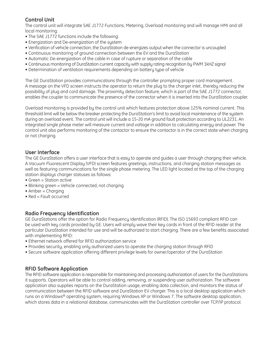#### **Control Unit**

The control unit will integrate SAE J1772 Functions, Metering, Overload monitoring and will manage HMI and all local monitoring.

- The SAE J1772 functions include the following:
- Energization and De-energization of the system
- Verification of vehicle connection; the DuraStation de-energizes output when the connector is uncoupled
- Continuous monitoring of ground connection between the EV and the DuraStation
- Automatic De-energization of the cable in case of rupture or separation of the cable
- Continuous monitoring of DuraStation current capacity with supply rating recognition by PWM 1kHZ signal
- Determination of ventilation requirements depending on battery type of vehicle

The GE DuraStation provides communications through the controller prompting proper cord management. A message on the VFD screen instructs the operator to return the plug to the charger inlet, thereby reducing the possibility of plug and cord damage. The proximity detection feature, which is part of the SAE J1772 connector, enables the coupler to communicate the presence of the connector when it is inserted into the DuraStation coupler.

Overload monitoring is provided by the control unit which features protection above 125% nominal current. This threshold limit will be below the breaker protecting the DuraStation's limit to avoid local maintenance of the system during an overload event. The control unit will include a 15-20 mA ground fault protection according to UL2231. An integrated single phase meter will measure current and voltage in addition to calculating energy and power. The control unit also performs monitoring of the contactor to ensure the contactor is in the correct state when charging or not charging.

#### **User Interface**

The GE DuraStation offers a user interface that is easy to operate and guides a user through charging their vehicle. A Vacuum Fluorescent Display (VFD) screen features greetings, instructions, and charging station messages as well as featuring communications for the single phase metering. The LED light located at the top of the charging station displays charger statuses as follows:

- Green = Station active
- Blinking green = Vehicle connected, not charging
- Amber = Charging
- Red = Fault occurred

#### **Radio Frequency Identification**

GE DuraStations offer the option for Radio Frequency Identification (RFID). The ISO 15693 compliant RFID can be used with key cards provided by GE. Users will simply wave their key cards in front of the RFID reader at the particular DuraStation intended for use and will be authorized to start charging. There are a few benefits associated with implementing RFID:

- Ethernet network offered for RFID authorization service
- Provides security, enabling only authorized users to operate the charging station through RFID
- Secure software application offering different privilege levels for owner/operator of the DuraStation

#### **RFID Software Application**

The RFID software application is responsible for maintaining and processing authorization of users for the DuraStations it supports. Operators will be able to control adding, removing, or suspending user authorization. The software application also supplies reports on the DuraStation usage, enabling data collection, and monitors the status of communication between the RFID software and DuraStation EV charger. This is a local desktop application which runs on a Windows® operating system, requiring Windows XP or Windows 7. The software desktop application, which stores data in a relational database, communicates with the DuraStation controller over TCP/IP protocol.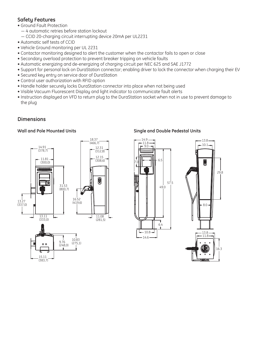#### **Safety Features**

- Ground Fault Protection
	- 4 automatic retries before station lockout
	- CCID 20-charging circuit interrupting device 20mA per UL2231
- Automatic self tests of CCID
- Vehicle Ground monitoring per UL 2231
- Contactor monitoring designed to alert the customer when the contactor fails to open or close
- Secondary overload protection to prevent breaker tripping on vehicle faults
- Automatic energizing and de-energizing of charging circuit per NEC 625 and SAE J1772
- Support for personal lock on DuraStation connector; enabling driver to lock the connector when charging their EV
- Secured key entry on service door of DuraStation
- Control user authorization with RFID option
- Handle holder securely locks DuraStation connector into place when not being used
- Visible Vacuum Fluorescent Display and light indicator to communicate fault alerts
- Instruction displayed on VFD to return plug to the DuraStation socket when not in use to prevent damage to the plug

#### **Dimensions**



#### **Wall and Pole Mounted Units Single and Double Pedestal Units**

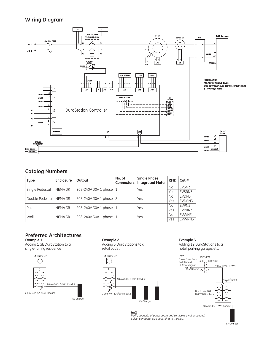#### **Wiring Diagram**



#### **Catalog Numbers**

| <b>Type</b>     | Enclosure | Output               | No. of<br>Connectors | <b>Single Phase</b><br><b>Integrated Meter</b> | <b>RFID</b> | Cat #  |
|-----------------|-----------|----------------------|----------------------|------------------------------------------------|-------------|--------|
| Single Pedestal | NEMA 3R   | 208-240V 30A 1 phase |                      | Yes                                            | No          | EVSN3  |
|                 |           |                      |                      |                                                | Yes         | EVSRN3 |
| Double Pedestal | NEMA 3R   | 208-240V 30A 1 phase |                      | Yes                                            | No          | EVDN3  |
|                 |           |                      |                      |                                                | Yes         | EVDRN3 |
| Pole            | NEMA 3R   | 208-240V 30A 1 phase |                      | Yes                                            | No          | EVPN3  |
|                 |           |                      |                      |                                                | Yes         | EVPRN3 |
| Wall            | NEMA 3R   | 208-240V 30A 1 phase |                      | Yes                                            | No          | EVWN3  |
|                 |           |                      |                      |                                                | Yes         | EVWRN3 |

# **Preferred Architectures**

Adding 1 GE DuraStation to a  $\frac{1}{2}$  Adding 3 DuraStations to a  $\frac{1}{2}$  Adding 12 DuraStations to a  $\frac{1}{2}$  SureStations to a  $\frac{1}{2}$  Adding 12 DuraStations to a  $\frac{1}{2}$  single-family residence



**Example 1 Example 2 Example 3**



hotel, parking garage, etc.



*Note Verify capacity of panel board and service are not exceeded. Select conductor size according to the NEC.*